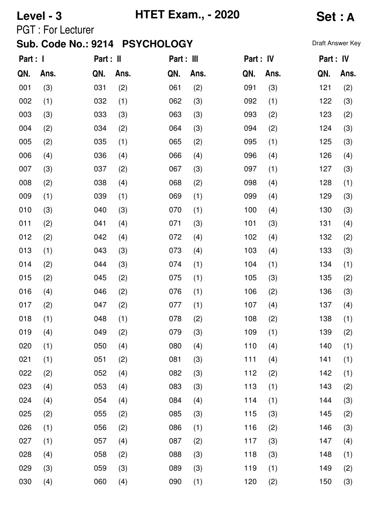# **Level - 3 HTET Exam., - 2020 Set : A**

PGT : For Lecturer

| Part : I |      | Part : II |      | Part : III |      | Part : IV |      | Part : IV |      |
|----------|------|-----------|------|------------|------|-----------|------|-----------|------|
| QN.      | Ans. | QN.       | Ans. | QN.        | Ans. | QN.       | Ans. | QN.       | Ans. |
| 001      | (3)  | 031       | (2)  | 061        | (2)  | 091       | (3)  | 121       | (2)  |
| 002      | (1)  | 032       | (1)  | 062        | (3)  | 092       | (1)  | 122       | (3)  |
| 003      | (3)  | 033       | (3)  | 063        | (3)  | 093       | (2)  | 123       | (2)  |
| 004      | (2)  | 034       | (2)  | 064        | (3)  | 094       | (2)  | 124       | (3)  |
| 005      | (2)  | 035       | (1)  | 065        | (2)  | 095       | (1)  | 125       | (3)  |
| 006      | (4)  | 036       | (4)  | 066        | (4)  | 096       | (4)  | 126       | (4)  |
| 007      | (3)  | 037       | (2)  | 067        | (3)  | 097       | (1)  | 127       | (3)  |
| 008      | (2)  | 038       | (4)  | 068        | (2)  | 098       | (4)  | 128       | (1)  |
| 009      | (1)  | 039       | (1)  | 069        | (1)  | 099       | (4)  | 129       | (3)  |
| 010      | (3)  | 040       | (3)  | 070        | (1)  | 100       | (4)  | 130       | (3)  |
| 011      | (2)  | 041       | (4)  | 071        | (3)  | 101       | (3)  | 131       | (4)  |
| 012      | (2)  | 042       | (4)  | 072        | (4)  | 102       | (4)  | 132       | (2)  |
| 013      | (1)  | 043       | (3)  | 073        | (4)  | 103       | (4)  | 133       | (3)  |
| 014      | (2)  | 044       | (3)  | 074        | (1)  | 104       | (1)  | 134       | (1)  |
| 015      | (2)  | 045       | (2)  | 075        | (1)  | 105       | (3)  | 135       | (2)  |
| 016      | (4)  | 046       | (2)  | 076        | (1)  | 106       | (2)  | 136       | (3)  |
| 017      | (2)  | 047       | (2)  | 077        | (1)  | 107       | (4)  | 137       | (4)  |
| 018      | (1)  | 048       | (1)  | 078        | (2)  | 108       | (2)  | 138       | (1)  |
| 019      | (4)  | 049       | (2)  | 079        | (3)  | 109       | (1)  | 139       | (2)  |
| 020      | (1)  | 050       | (4)  | 080        | (4)  | 110       | (4)  | 140       | (1)  |
| 021      | (1)  | 051       | (2)  | 081        | (3)  | 111       | (4)  | 141       | (1)  |
| 022      | (2)  | 052       | (4)  | 082        | (3)  | 112       | (2)  | 142       | (1)  |
| 023      | (4)  | 053       | (4)  | 083        | (3)  | 113       | (1)  | 143       | (2)  |
| 024      | (4)  | 054       | (4)  | 084        | (4)  | 114       | (1)  | 144       | (3)  |
| 025      | (2)  | 055       | (2)  | 085        | (3)  | 115       | (3)  | 145       | (2)  |
| 026      | (1)  | 056       | (2)  | 086        | (1)  | 116       | (2)  | 146       | (3)  |
| 027      | (1)  | 057       | (4)  | 087        | (2)  | 117       | (3)  | 147       | (4)  |
| 028      | (4)  | 058       | (2)  | 088        | (3)  | 118       | (3)  | 148       | (1)  |
| 029      | (3)  | 059       | (3)  | 089        | (3)  | 119       | (1)  | 149       | (2)  |
| 030      | (4)  | 060       | (4)  | 090        | (1)  | 120       | (2)  | 150       | (3)  |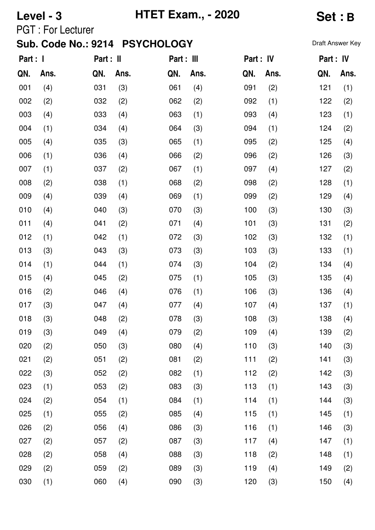### **Level - 3 HTET Exam., - 2020 Set : B**

PGT : For Lecturer

| Part : I |      | Part : II |      | Part : III |      | Part : IV |      | Part: IV |      |
|----------|------|-----------|------|------------|------|-----------|------|----------|------|
| QN.      | Ans. | QN.       | Ans. | QN.        | Ans. | QN.       | Ans. | QN.      | Ans. |
| 001      | (4)  | 031       | (3)  | 061        | (4)  | 091       | (2)  | 121      | (1)  |
| 002      | (2)  | 032       | (2)  | 062        | (2)  | 092       | (1)  | 122      | (2)  |
| 003      | (4)  | 033       | (4)  | 063        | (1)  | 093       | (4)  | 123      | (1)  |
| 004      | (1)  | 034       | (4)  | 064        | (3)  | 094       | (1)  | 124      | (2)  |
| 005      | (4)  | 035       | (3)  | 065        | (1)  | 095       | (2)  | 125      | (4)  |
| 006      | (1)  | 036       | (4)  | 066        | (2)  | 096       | (2)  | 126      | (3)  |
| 007      | (1)  | 037       | (2)  | 067        | (1)  | 097       | (4)  | 127      | (2)  |
| 008      | (2)  | 038       | (1)  | 068        | (2)  | 098       | (2)  | 128      | (1)  |
| 009      | (4)  | 039       | (4)  | 069        | (1)  | 099       | (2)  | 129      | (4)  |
| 010      | (4)  | 040       | (3)  | 070        | (3)  | 100       | (3)  | 130      | (3)  |
| 011      | (4)  | 041       | (2)  | 071        | (4)  | 101       | (3)  | 131      | (2)  |
| 012      | (1)  | 042       | (1)  | 072        | (3)  | 102       | (3)  | 132      | (1)  |
| 013      | (3)  | 043       | (3)  | 073        | (3)  | 103       | (3)  | 133      | (1)  |
| 014      | (1)  | 044       | (1)  | 074        | (3)  | 104       | (2)  | 134      | (4)  |
| 015      | (4)  | 045       | (2)  | 075        | (1)  | 105       | (3)  | 135      | (4)  |
| 016      | (2)  | 046       | (4)  | 076        | (1)  | 106       | (3)  | 136      | (4)  |
| 017      | (3)  | 047       | (4)  | 077        | (4)  | 107       | (4)  | 137      | (1)  |
| 018      | (3)  | 048       | (2)  | 078        | (3)  | 108       | (3)  | 138      | (4)  |
| 019      | (3)  | 049       | (4)  | 079        | (2)  | 109       | (4)  | 139      | (2)  |
| 020      | (2)  | 050       | (3)  | 080        | (4)  | 110       | (3)  | 140      | (3)  |
| 021      | (2)  | 051       | (2)  | 081        | (2)  | 111       | (2)  | 141      | (3)  |
| 022      | (3)  | 052       | (2)  | 082        | (1)  | 112       | (2)  | 142      | (3)  |
| 023      | (1)  | 053       | (2)  | 083        | (3)  | 113       | (1)  | 143      | (3)  |
| 024      | (2)  | 054       | (1)  | 084        | (1)  | 114       | (1)  | 144      | (3)  |
| 025      | (1)  | 055       | (2)  | 085        | (4)  | 115       | (1)  | 145      | (1)  |
| 026      | (2)  | 056       | (4)  | 086        | (3)  | 116       | (1)  | 146      | (3)  |
| 027      | (2)  | 057       | (2)  | 087        | (3)  | 117       | (4)  | 147      | (1)  |
| 028      | (2)  | 058       | (4)  | 088        | (3)  | 118       | (2)  | 148      | (1)  |
| 029      | (2)  | 059       | (2)  | 089        | (3)  | 119       | (4)  | 149      | (2)  |
| 030      | (1)  | 060       | (4)  | 090        | (3)  | 120       | (3)  | 150      | (4)  |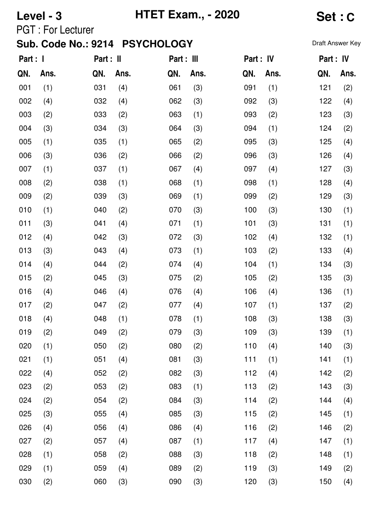## **Level - 3 HTET Exam., - 2020 Set : C**

PGT : For Lecturer

| Draft Answer Key |  |
|------------------|--|
|------------------|--|

| Part : I |      | Part : II |      | Part : III |      | Part : IV |      | Part: IV |      |
|----------|------|-----------|------|------------|------|-----------|------|----------|------|
| QN.      | Ans. | QN.       | Ans. | QN.        | Ans. | QN.       | Ans. | QN.      | Ans. |
| 001      | (1)  | 031       | (4)  | 061        | (3)  | 091       | (1)  | 121      | (2)  |
| 002      | (4)  | 032       | (4)  | 062        | (3)  | 092       | (3)  | 122      | (4)  |
| 003      | (2)  | 033       | (2)  | 063        | (1)  | 093       | (2)  | 123      | (3)  |
| 004      | (3)  | 034       | (3)  | 064        | (3)  | 094       | (1)  | 124      | (2)  |
| 005      | (1)  | 035       | (1)  | 065        | (2)  | 095       | (3)  | 125      | (4)  |
| 006      | (3)  | 036       | (2)  | 066        | (2)  | 096       | (3)  | 126      | (4)  |
| 007      | (1)  | 037       | (1)  | 067        | (4)  | 097       | (4)  | 127      | (3)  |
| 008      | (2)  | 038       | (1)  | 068        | (1)  | 098       | (1)  | 128      | (4)  |
| 009      | (2)  | 039       | (3)  | 069        | (1)  | 099       | (2)  | 129      | (3)  |
| 010      | (1)  | 040       | (2)  | 070        | (3)  | 100       | (3)  | 130      | (1)  |
| 011      | (3)  | 041       | (4)  | 071        | (1)  | 101       | (3)  | 131      | (1)  |
| 012      | (4)  | 042       | (3)  | 072        | (3)  | 102       | (4)  | 132      | (1)  |
| 013      | (3)  | 043       | (4)  | 073        | (1)  | 103       | (2)  | 133      | (4)  |
| 014      | (4)  | 044       | (2)  | 074        | (4)  | 104       | (1)  | 134      | (3)  |
| 015      | (2)  | 045       | (3)  | 075        | (2)  | 105       | (2)  | 135      | (3)  |
| 016      | (4)  | 046       | (4)  | 076        | (4)  | 106       | (4)  | 136      | (1)  |
| 017      | (2)  | 047       | (2)  | 077        | (4)  | 107       | (1)  | 137      | (2)  |
| 018      | (4)  | 048       | (1)  | 078        | (1)  | 108       | (3)  | 138      | (3)  |
| 019      | (2)  | 049       | (2)  | 079        | (3)  | 109       | (3)  | 139      | (1)  |
| 020      | (1)  | 050       | (2)  | 080        | (2)  | 110       | (4)  | 140      | (3)  |
| 021      | (1)  | 051       | (4)  | 081        | (3)  | 111       | (1)  | 141      | (1)  |
| 022      | (4)  | 052       | (2)  | 082        | (3)  | 112       | (4)  | 142      | (2)  |
| 023      | (2)  | 053       | (2)  | 083        | (1)  | 113       | (2)  | 143      | (3)  |
| 024      | (2)  | 054       | (2)  | 084        | (3)  | 114       | (2)  | 144      | (4)  |
| 025      | (3)  | 055       | (4)  | 085        | (3)  | 115       | (2)  | 145      | (1)  |
| 026      | (4)  | 056       | (4)  | 086        | (4)  | 116       | (2)  | 146      | (2)  |
| 027      | (2)  | 057       | (4)  | 087        | (1)  | 117       | (4)  | 147      | (1)  |
| 028      | (1)  | 058       | (2)  | 088        | (3)  | 118       | (2)  | 148      | (1)  |
| 029      | (1)  | 059       | (4)  | 089        | (2)  | 119       | (3)  | 149      | (2)  |
| 030      | (2)  | 060       | (3)  | 090        | (3)  | 120       | (3)  | 150      | (4)  |